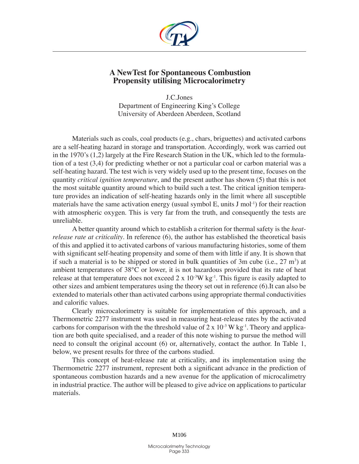

## **A NewTest for Spontaneous Combustion Propensity utilising Microcalorimetry**

J.C.Jones Department of Engineering King's College University of Aberdeen Aberdeen, Scotland

Materials such as coals, coal products (e.g., chars, briguettes) and activated carbons are a self-heating hazard in storage and transportation. Accordingly, work was carried out in the 1970's (1,2) largely at the Fire Research Station in the UK, which led to the formulation of a test (3,4) for predicting whether or not a particular coal or carbon material was a self-heating hazard. The test wich is very widely used up to the present time, focuses on the quantity *critical ignition temperature*, and the present author has shown (5) that this is not the most suitable quantity around which to build such a test. The critical ignition temperature provides an indication of self-heating hazards only in the limit where all susceptible materials have the same activation energy (usual symbol  $E$ , units  $J$  mol<sup>-1</sup>) for their reaction with atmospheric oxygen. This is very far from the truth, and consequently the tests are unreliable.

A better quantity around which to establish a criterion for thermal safety is the *heatrelease rate at criticality*. In reference (6), the author has established the theoretical basis of this and applied it to activated carbons of various manufacturing histories, some of them with significant self-heating propensity and some of them with little if any. It is shown that if such a material is to be shipped or stored in bulk quantities of  $3m$  cube (i.e.,  $27 \text{ m}^3$ ) at ambient temperatures of 38°C or lower, it is not hazardous provided that its rate of heat release at that temperature does not exceed  $2 \times 10^{-3} W kg^{-1}$ . This figure is easily adapted to other sizes and ambient temperatures using the theory set out in reference (6).It can also be extended to materials other than activated carbons using appropriate thermal conductivities and calorific values.

Clearly microcalorimetry is suitable for implementation of this approach, and a Thermometric 2277 instrument was used in measuring heat-release rates by the activated carbons for comparison with the the threshold value of  $2 \times 10^{-3}$  W kg<sup>-1</sup>. Theory and application are both quite specialised, and a reader of this note wishing to pursue the method will need to consult the original account (6) or, alternatively, contact the author. In Table 1, below, we present results for three of the carbons studied.

This concept of heat-release rate at criticality, and its implementation using the Thermometric 2277 instrument, represent both a significant advance in the prediction of spontaneous combustion hazards and a new avenue for the application of microcalimetry in industrial practice. The author will be pleased to give advice on applications to particular materials.